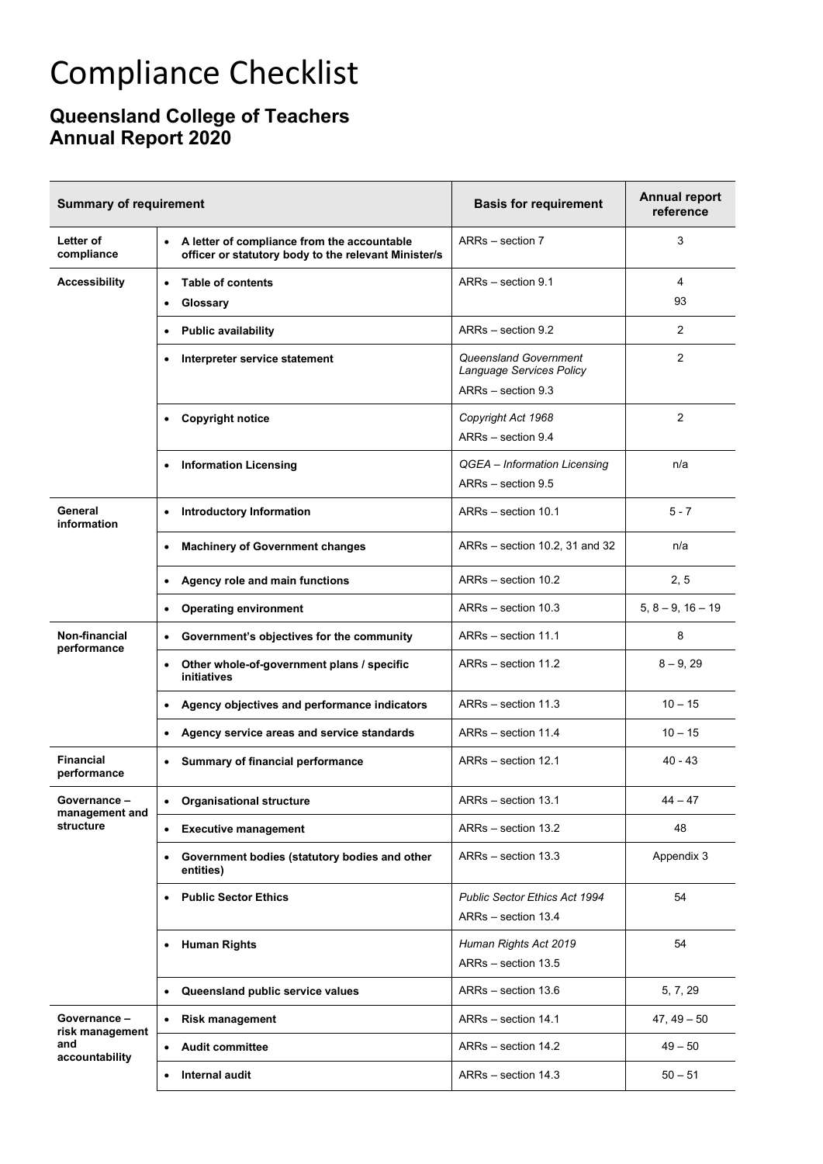## Compliance Checklist

## **Queensland College of Teachers Annual Report 2020**

| <b>Summary of requirement</b>                            |                                                                                                                  | <b>Basis for requirement</b>                                                   | <b>Annual report</b><br>reference |
|----------------------------------------------------------|------------------------------------------------------------------------------------------------------------------|--------------------------------------------------------------------------------|-----------------------------------|
| Letter of<br>compliance                                  | A letter of compliance from the accountable<br>$\bullet$<br>officer or statutory body to the relevant Minister/s | ARRs - section 7                                                               | 3                                 |
| <b>Accessibility</b>                                     | <b>Table of contents</b><br>$\bullet$<br>Glossary<br>٠                                                           | ARRs - section 9.1                                                             | 4<br>93                           |
|                                                          | <b>Public availability</b><br>$\bullet$                                                                          | ARRs - section 9.2                                                             | 2                                 |
|                                                          | Interpreter service statement                                                                                    | <b>Queensland Government</b><br>Language Services Policy<br>ARRs - section 9.3 | $\overline{2}$                    |
|                                                          | <b>Copyright notice</b><br>$\bullet$                                                                             | Copyright Act 1968<br>ARRs - section 9.4                                       | 2                                 |
|                                                          | <b>Information Licensing</b><br>$\bullet$                                                                        | QGEA - Information Licensing<br>ARRs - section 9.5                             | n/a                               |
| General<br>information                                   | <b>Introductory Information</b><br>$\bullet$                                                                     | ARRs - section 10.1                                                            | $5 - 7$                           |
|                                                          | <b>Machinery of Government changes</b><br>$\bullet$                                                              | ARRs - section 10.2, 31 and 32                                                 | n/a                               |
|                                                          | Agency role and main functions<br>$\bullet$                                                                      | ARRs - section 10.2                                                            | 2, 5                              |
|                                                          | <b>Operating environment</b><br>$\bullet$                                                                        | ARRs - section 10.3                                                            | $5, 8 - 9, 16 - 19$               |
| Non-financial<br>performance                             | Government's objectives for the community<br>$\bullet$                                                           | ARRs - section 11.1                                                            | 8                                 |
|                                                          | Other whole-of-government plans / specific<br>$\bullet$<br>initiatives                                           | ARRs - section 11.2                                                            | $8 - 9, 29$                       |
|                                                          | Agency objectives and performance indicators<br>$\bullet$                                                        | ARRs - section 11.3                                                            | $10 - 15$                         |
|                                                          | Agency service areas and service standards<br>$\bullet$                                                          | ARRs - section 11.4                                                            | $10 - 15$                         |
| <b>Financial</b><br>performance                          | Summary of financial performance<br>٠                                                                            | ARRs - section 12.1                                                            | $40 - 43$                         |
| Governance –<br>management and<br>structure              | <b>Organisational structure</b>                                                                                  | ARRs - section 13.1                                                            | $44 - 47$                         |
|                                                          | <b>Executive management</b><br>$\bullet$                                                                         | ARRs - section 13.2                                                            | 48                                |
|                                                          | Government bodies (statutory bodies and other<br>٠<br>entities)                                                  | ARRs - section 13.3                                                            | Appendix 3                        |
|                                                          | <b>Public Sector Ethics</b><br>٠                                                                                 | <b>Public Sector Ethics Act 1994</b><br>ARRs - section 13.4                    | 54                                |
|                                                          | • Human Rights                                                                                                   | Human Rights Act 2019<br>ARRs - section 13.5                                   | 54                                |
|                                                          | Queensland public service values<br>$\bullet$                                                                    | ARRs - section 13.6                                                            | 5, 7, 29                          |
| Governance -<br>risk management<br>and<br>accountability | <b>Risk management</b><br>$\bullet$                                                                              | ARRs - section 14.1                                                            | $47, 49 - 50$                     |
|                                                          | <b>Audit committee</b><br>$\bullet$                                                                              | ARRs - section 14.2                                                            | $49 - 50$                         |
|                                                          | Internal audit<br>$\bullet$                                                                                      | ARRs - section 14.3                                                            | $50 - 51$                         |